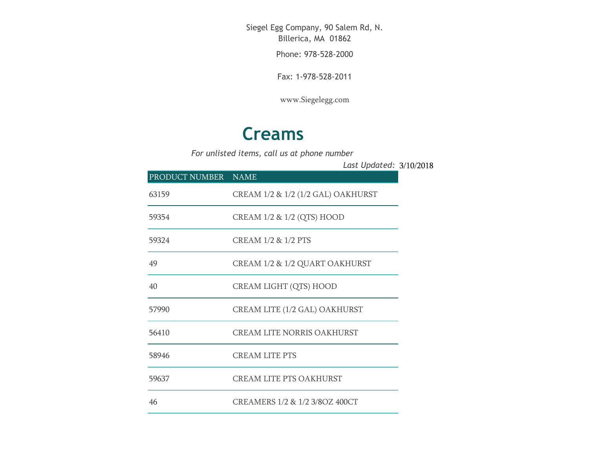Siegel Egg Company, 90 Salem Rd, N. Billerica, MA 01862

Phone: 978-528-2000

Fax: 1-978-528-2011

[www.Siegelegg.com](http://www.siegelegg.com/)

## **Creams**

*For unlisted items, call us at phone number*

3/10/2018 *Last Updated:*

| PRODUCT NUMBER NAME |                                    |
|---------------------|------------------------------------|
| 63159               | CREAM 1/2 & 1/2 (1/2 GAL) OAKHURST |
| 59354               | CREAM 1/2 & 1/2 (QTS) HOOD         |
| 59324               | CREAM 1/2 & 1/2 PTS                |
| 49                  | CREAM 1/2 & 1/2 QUART OAKHURST     |
| 40                  | <b>CREAM LIGHT (QTS) HOOD</b>      |
| 57990               | CREAM LITE (1/2 GAL) OAKHURST      |
| 56410               | <b>CREAM LITE NORRIS OAKHURST</b>  |
| 58946               | <b>CREAM LITE PTS</b>              |
| 59637               | <b>CREAM LITE PTS OAKHURST</b>     |
| 46                  | CREAMERS 1/2 & 1/2 3/8OZ 400CT     |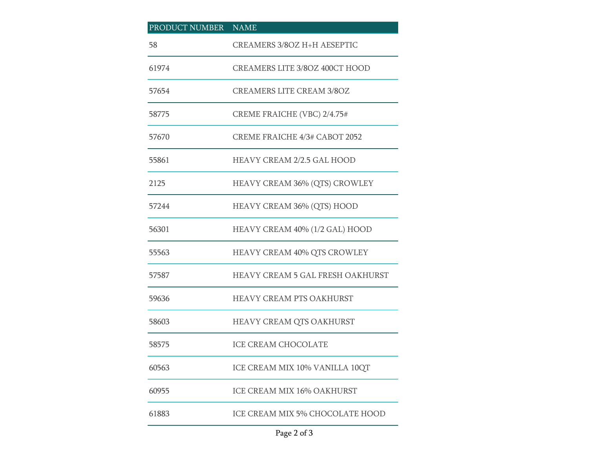## PRODUCT NUMBER NAME CREAMERS 3/8OZ H+H AESEPTIC CREAMERS LITE 3/8OZ 400CT HOOD CREAMERS LITE CREAM 3/8OZ CREME FRAICHE (VBC) 2/4.75# CREME FRAICHE 4/3# CABOT 2052 HEAVY CREAM 2/2.5 GAL HOOD HEAVY CREAM 36% (QTS) CROWLEY HEAVY CREAM 36% (QTS) HOOD HEAVY CREAM 40% (1/2 GAL) HOOD HEAVY CREAM 40% QTS CROWLEY HEAVY CREAM 5 GAL FRESH OAKHURST HEAVY CREAM PTS OAKHURST HEAVY CREAM QTS OAKHURST ICE CREAM CHOCOLATE ICE CREAM MIX 10% VANILLA 10QT ICE CREAM MIX 16% OAKHURST ICE CREAM MIX 5% CHOCOLATE HOOD